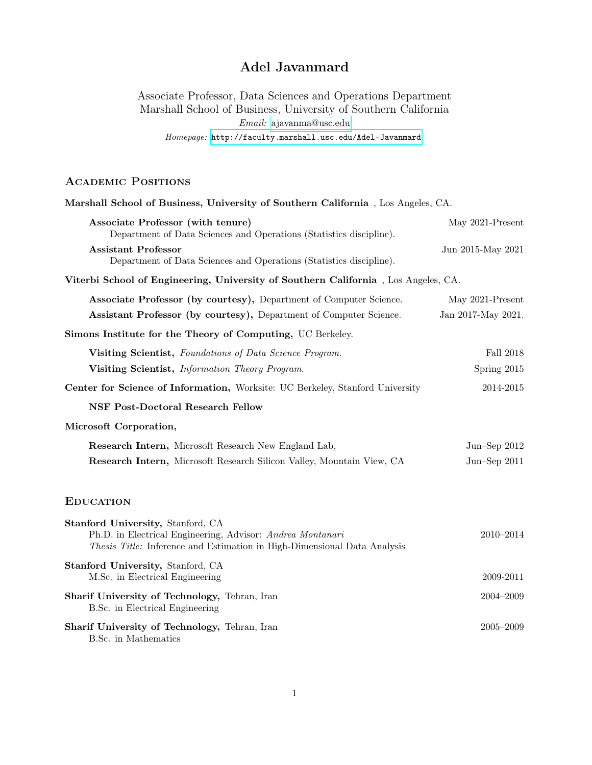# Adel Javanmard

Associate Professor, Data Sciences and Operations Department Marshall School of Business, University of Southern California Email: [ajavanma@usc.edu](mailto:adeljavanmard@gmail.com) Homepage: <http://faculty.marshall.usc.edu/Adel-Javanmard>

# ACADEMIC POSITIONS

| Marshall School of Business, University of Southern California, Los Angeles, CA.                                                                                                   |                    |
|------------------------------------------------------------------------------------------------------------------------------------------------------------------------------------|--------------------|
| Associate Professor (with tenure)<br>Department of Data Sciences and Operations (Statistics discipline).                                                                           | May 2021-Present   |
| <b>Assistant Professor</b><br>Department of Data Sciences and Operations (Statistics discipline).                                                                                  | Jun 2015-May 2021  |
| Viterbi School of Engineering, University of Southern California, Los Angeles, CA.                                                                                                 |                    |
| Associate Professor (by courtesy), Department of Computer Science.                                                                                                                 | May 2021-Present   |
| Assistant Professor (by courtesy), Department of Computer Science.                                                                                                                 | Jan 2017-May 2021. |
| Simons Institute for the Theory of Computing, UC Berkeley.                                                                                                                         |                    |
| Visiting Scientist, Foundations of Data Science Program.                                                                                                                           | <b>Fall 2018</b>   |
| Visiting Scientist, Information Theory Program.                                                                                                                                    | Spring 2015        |
| Center for Science of Information, Worksite: UC Berkeley, Stanford University                                                                                                      | 2014-2015          |
| <b>NSF Post-Doctoral Research Fellow</b>                                                                                                                                           |                    |
| Microsoft Corporation,                                                                                                                                                             |                    |
| Research Intern, Microsoft Research New England Lab,                                                                                                                               | Jun-Sep $2012$     |
| Research Intern, Microsoft Research Silicon Valley, Mountain View, CA                                                                                                              | Jun-Sep $2011$     |
| <b>EDUCATION</b>                                                                                                                                                                   |                    |
| Stanford University, Stanford, CA<br>Ph.D. in Electrical Engineering, Advisor: Andrea Montanari<br><i>Thesis Title:</i> Inference and Estimation in High-Dimensional Data Analysis | 2010-2014          |
| Stanford University, Stanford, CA<br>M.Sc. in Electrical Engineering                                                                                                               | 2009-2011          |
| Sharif University of Technology, Tehran, Iran<br>B.Sc. in Electrical Engineering                                                                                                   | 2004-2009          |
| Sharif University of Technology, Tehran, Iran<br>B.Sc. in Mathematics                                                                                                              | $2005 - 2009$      |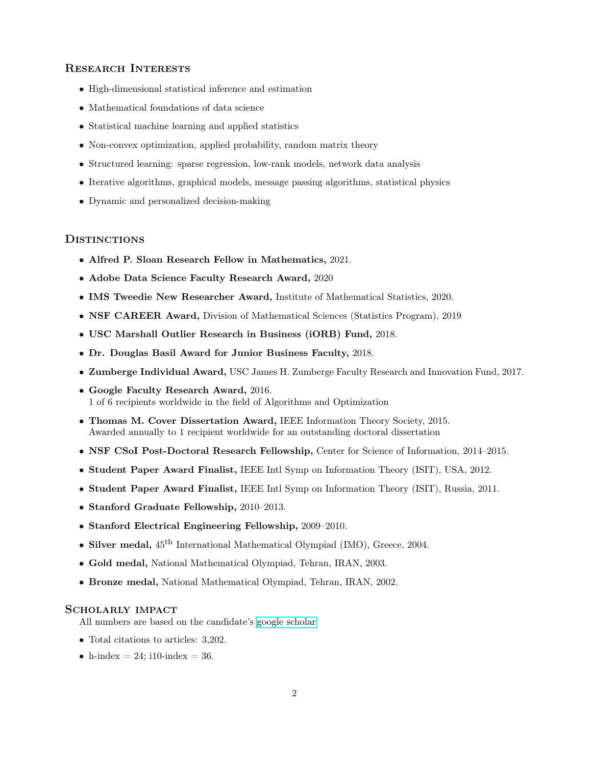# Research Interests

- High-dimensional statistical inference and estimation
- Mathematical foundations of data science
- Statistical machine learning and applied statistics
- Non-convex optimization, applied probability, random matrix theory
- Structured learning: sparse regression, low-rank models, network data analysis
- Iterative algorithms, graphical models, message passing algorithms, statistical physics
- Dynamic and personalized decision-making

# **DISTINCTIONS**

- Alfred P. Sloan Research Fellow in Mathematics, 2021.
- Adobe Data Science Faculty Research Award, 2020
- IMS Tweedie New Researcher Award, Institute of Mathematical Statistics, 2020.
- NSF CAREER Award, Division of Mathematical Sciences (Statistics Program), 2019
- USC Marshall Outlier Research in Business (iORB) Fund, 2018.
- Dr. Douglas Basil Award for Junior Business Faculty, 2018.
- Zumberge Individual Award, USC James H. Zumberge Faculty Research and Innovation Fund, 2017.
- Google Faculty Research Award, 2016. 1 of 6 recipients worldwide in the field of Algorithms and Optimization
- Thomas M. Cover Dissertation Award, IEEE Information Theory Society, 2015. Awarded annually to 1 recipient worldwide for an outstanding doctoral dissertation
- NSF CSoI Post-Doctoral Research Fellowship, Center for Science of Information, 2014–2015.
- Student Paper Award Finalist, IEEE Intl Symp on Information Theory (ISIT), USA, 2012.
- Student Paper Award Finalist, IEEE Intl Symp on Information Theory (ISIT), Russia, 2011.
- Stanford Graduate Fellowship, 2010–2013.
- Stanford Electrical Engineering Fellowship, 2009–2010.
- Silver medal,  $45^{\text{th}}$  International Mathematical Olympiad (IMO), Greece, 2004.
- Gold medal, National Mathematical Olympiad, Tehran, IRAN, 2003.
- Bronze medal, National Mathematical Olympiad, Tehran, IRAN, 2002.

#### Scholarly impact

All numbers are based on the candidate's [google scholar.](https://scholar.google.com/citations?user=cNSbfGQAAAAJ&hl=en)

- Total citations to articles: 3,202.
- h-index  $= 24$ ; i10-index  $= 36$ .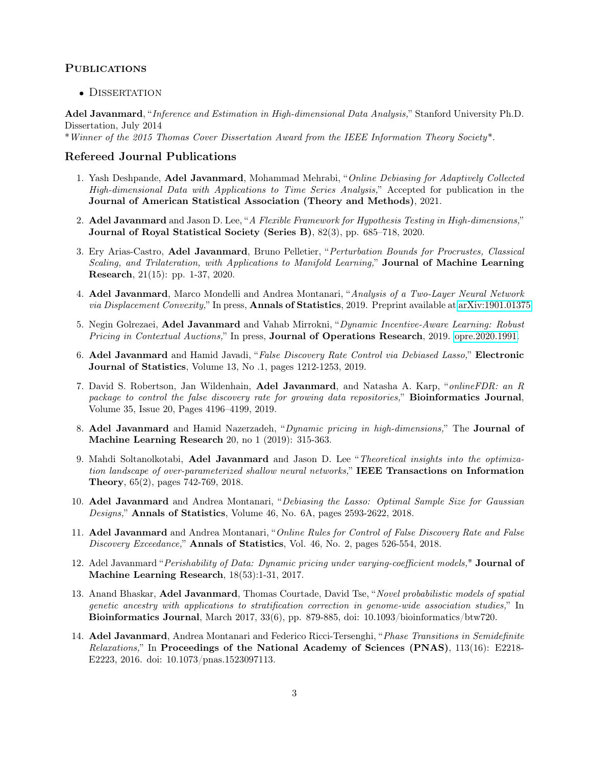# **PUBLICATIONS**

• DISSERTATION

Adel Javanmard, "Inference and Estimation in High-dimensional Data Analysis," Stanford University Ph.D. Dissertation, July 2014

\*Winner of the 2015 Thomas Cover Dissertation Award from the IEEE Information Theory Society\*.

# Refereed Journal Publications

- 1. Yash Deshpande, Adel Javanmard, Mohammad Mehrabi, "Online Debiasing for Adaptively Collected High-dimensional Data with Applications to Time Series Analysis," Accepted for publication in the Journal of American Statistical Association (Theory and Methods), 2021.
- 2. Adel Javanmard and Jason D. Lee, "A Flexible Framework for Hypothesis Testing in High-dimensions," Journal of Royal Statistical Society (Series B), 82(3), pp. 685–718, 2020.
- 3. Ery Arias-Castro, Adel Javanmard, Bruno Pelletier, "Perturbation Bounds for Procrustes, Classical Scaling, and Trilateration, with Applications to Manifold Learning," Journal of Machine Learning Research, 21(15): pp. 1-37, 2020.
- 4. Adel Javanmard, Marco Mondelli and Andrea Montanari, "Analysis of a Two-Layer Neural Network via Displacement Convexity," In press, **Annals of Statistics**, 2019. Preprint available at [arXiv:1901.01375.](https://arxiv.org/abs/1901.01375)
- 5. Negin Golrezaei, Adel Javanmard and Vahab Mirrokni, "Dynamic Incentive-Aware Learning: Robust Pricing in Contextual Auctions," In press, Journal of Operations Research, 2019. [opre.2020.1991.](https://doi.org/10.1287/opre.2020.1991)
- 6. Adel Javanmard and Hamid Javadi, "False Discovery Rate Control via Debiased Lasso," Electronic Journal of Statistics, Volume 13, No .1, pages 1212-1253, 2019.
- 7. David S. Robertson, Jan Wildenhain, Adel Javanmard, and Natasha A. Karp, "onlineFDR: an R package to control the false discovery rate for growing data repositories," Bioinformatics Journal, Volume 35, Issue 20, Pages 4196–4199, 2019.
- 8. Adel Javanmard and Hamid Nazerzadeh, "Dynamic pricing in high-dimensions," The Journal of Machine Learning Research 20, no 1 (2019): 315-363.
- 9. Mahdi Soltanolkotabi, Adel Javanmard and Jason D. Lee "Theoretical insights into the optimization landscape of over-parameterized shallow neural networks," IEEE Transactions on Information Theory, 65(2), pages 742-769, 2018.
- 10. Adel Javanmard and Andrea Montanari, "Debiasing the Lasso: Optimal Sample Size for Gaussian Designs," Annals of Statistics, Volume 46, No. 6A, pages 2593-2622, 2018.
- 11. Adel Javanmard and Andrea Montanari, "Online Rules for Control of False Discovery Rate and False Discovery Exceedance," Annals of Statistics, Vol. 46, No. 2, pages 526-554, 2018.
- 12. Adel Javanmard "Perishability of Data: Dynamic pricing under varying-coefficient models," Journal of Machine Learning Research, 18(53):1-31, 2017.
- 13. Anand Bhaskar, Adel Javanmard, Thomas Courtade, David Tse, "Novel probabilistic models of spatial genetic ancestry with applications to stratification correction in genome-wide association studies," In Bioinformatics Journal, March 2017, 33(6), pp. 879-885, doi: 10.1093/bioinformatics/btw720.
- 14. Adel Javanmard, Andrea Montanari and Federico Ricci-Tersenghi, "Phase Transitions in Semidefinite Relaxations," In Proceedings of the National Academy of Sciences (PNAS), 113(16): E2218-E2223, 2016. doi: 10.1073/pnas.1523097113.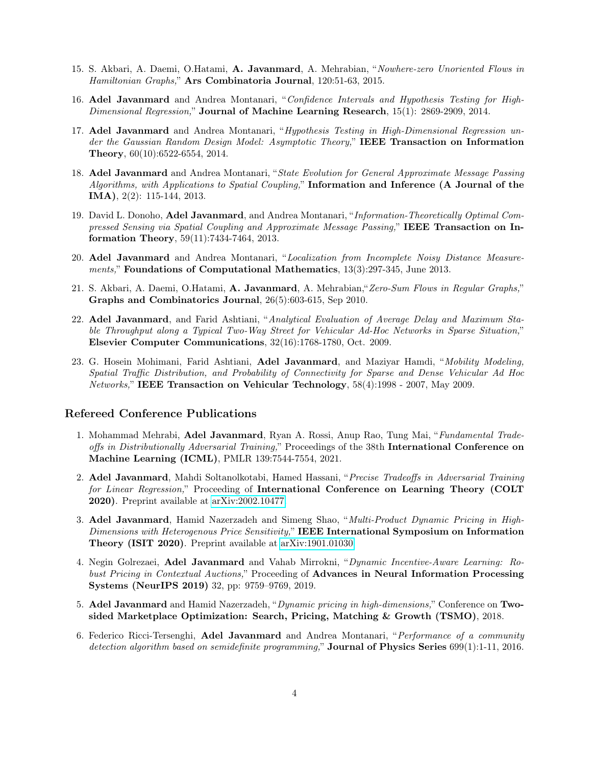- 15. S. Akbari, A. Daemi, O.Hatami, A. Javanmard, A. Mehrabian, "Nowhere-zero Unoriented Flows in Hamiltonian Graphs," Ars Combinatoria Journal, 120:51-63, 2015.
- 16. Adel Javanmard and Andrea Montanari, "Confidence Intervals and Hypothesis Testing for High-Dimensional Regression," Journal of Machine Learning Research, 15(1): 2869-2909, 2014.
- 17. Adel Javanmard and Andrea Montanari, "Hypothesis Testing in High-Dimensional Regression under the Gaussian Random Design Model: Asymptotic Theory," IEEE Transaction on Information Theory, 60(10):6522-6554, 2014.
- 18. Adel Javanmard and Andrea Montanari, "State Evolution for General Approximate Message Passing Algorithms, with Applications to Spatial Coupling," Information and Inference (A Journal of the IMA), 2(2): 115-144, 2013.
- 19. David L. Donoho, Adel Javanmard, and Andrea Montanari, "Information-Theoretically Optimal Compressed Sensing via Spatial Coupling and Approximate Message Passing," IEEE Transaction on Information Theory, 59(11):7434-7464, 2013.
- 20. Adel Javanmard and Andrea Montanari, "Localization from Incomplete Noisy Distance Measurements," Foundations of Computational Mathematics, 13(3):297-345, June 2013.
- 21. S. Akbari, A. Daemi, O.Hatami, A. Javanmard, A. Mehrabian,"Zero-Sum Flows in Regular Graphs," Graphs and Combinatorics Journal, 26(5):603-615, Sep 2010.
- 22. Adel Javanmard, and Farid Ashtiani, "Analytical Evaluation of Average Delay and Maximum Stable Throughput along a Typical Two-Way Street for Vehicular Ad-Hoc Networks in Sparse Situation," Elsevier Computer Communications, 32(16):1768-1780, Oct. 2009.
- 23. G. Hosein Mohimani, Farid Ashtiani, Adel Javanmard, and Maziyar Hamdi, "Mobility Modeling, Spatial Traffic Distribution, and Probability of Connectivity for Sparse and Dense Vehicular Ad Hoc Networks," IEEE Transaction on Vehicular Technology, 58(4):1998 - 2007, May 2009.

# Refereed Conference Publications

- 1. Mohammad Mehrabi, Adel Javanmard, Ryan A. Rossi, Anup Rao, Tung Mai, "Fundamental Tradeoffs in Distributionally Adversarial Training," Proceedings of the 38th International Conference on Machine Learning (ICML), PMLR 139:7544-7554, 2021.
- 2. Adel Javanmard, Mahdi Soltanolkotabi, Hamed Hassani, "Precise Tradeoffs in Adversarial Training for Linear Regression," Proceeding of International Conference on Learning Theory (COLT 2020). Preprint available at [arXiv:2002.10477.](https://arxiv.org/abs/2002.10477)
- 3. Adel Javanmard, Hamid Nazerzadeh and Simeng Shao, "Multi-Product Dynamic Pricing in High-Dimensions with Heterogenous Price Sensitivity," IEEE International Symposium on Information Theory (ISIT 2020). Preprint available at [arXiv:1901.01030.](https://arxiv.org/abs/1901.01030)
- 4. Negin Golrezaei, Adel Javanmard and Vahab Mirrokni, "Dynamic Incentive-Aware Learning: Robust Pricing in Contextual Auctions," Proceeding of Advances in Neural Information Processing Systems (NeurIPS 2019) 32, pp: 9759–9769, 2019.
- 5. Adel Javanmard and Hamid Nazerzadeh, "Dynamic pricing in high-dimensions," Conference on Twosided Marketplace Optimization: Search, Pricing, Matching & Growth (TSMO), 2018.
- 6. Federico Ricci-Tersenghi, Adel Javanmard and Andrea Montanari, "Performance of a community detection algorithm based on semidefinite programming," Journal of Physics Series 699(1):1-11, 2016.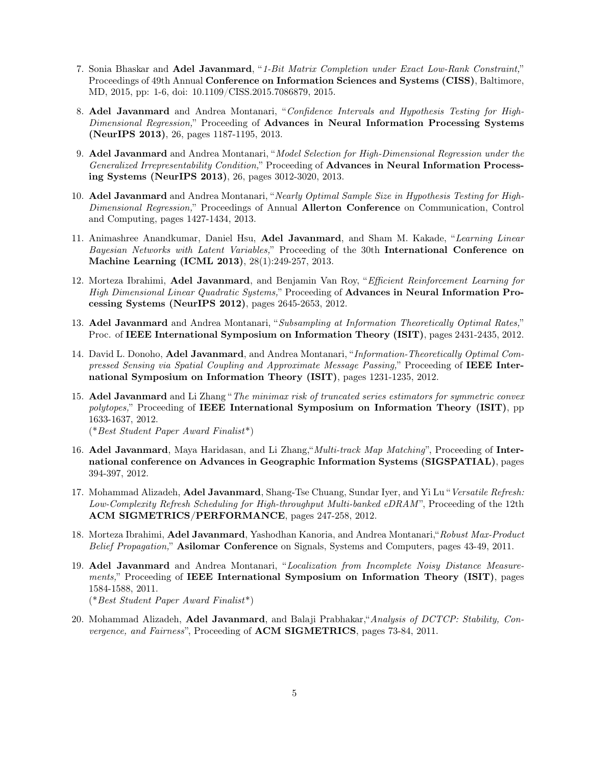- 7. Sonia Bhaskar and Adel Javanmard, "1-Bit Matrix Completion under Exact Low-Rank Constraint," Proceedings of 49th Annual Conference on Information Sciences and Systems (CISS), Baltimore, MD, 2015, pp: 1-6, doi: 10.1109/CISS.2015.7086879, 2015.
- 8. Adel Javanmard and Andrea Montanari, "Confidence Intervals and Hypothesis Testing for High-Dimensional Regression," Proceeding of Advances in Neural Information Processing Systems (NeurIPS 2013), 26, pages 1187-1195, 2013.
- 9. Adel Javanmard and Andrea Montanari, "Model Selection for High-Dimensional Regression under the Generalized Irrepresentability Condition," Proceeding of Advances in Neural Information Processing Systems (NeurIPS 2013), 26, pages 3012-3020, 2013.
- 10. Adel Javanmard and Andrea Montanari, "Nearly Optimal Sample Size in Hypothesis Testing for High-Dimensional Regression," Proceedings of Annual Allerton Conference on Communication, Control and Computing, pages 1427-1434, 2013.
- 11. Animashree Anandkumar, Daniel Hsu, Adel Javanmard, and Sham M. Kakade, "Learning Linear Bayesian Networks with Latent Variables," Proceeding of the 30th International Conference on Machine Learning (ICML 2013), 28(1):249-257, 2013.
- 12. Morteza Ibrahimi, Adel Javanmard, and Benjamin Van Roy, "Efficient Reinforcement Learning for High Dimensional Linear Quadratic Systems," Proceeding of Advances in Neural Information Processing Systems (NeurIPS 2012), pages 2645-2653, 2012.
- 13. Adel Javanmard and Andrea Montanari, "Subsampling at Information Theoretically Optimal Rates," Proc. of IEEE International Symposium on Information Theory (ISIT), pages 2431-2435, 2012.
- 14. David L. Donoho, Adel Javanmard, and Andrea Montanari, "Information-Theoretically Optimal Compressed Sensing via Spatial Coupling and Approximate Message Passing," Proceeding of IEEE International Symposium on Information Theory (ISIT), pages 1231-1235, 2012.
- 15. Adel Javanmard and Li Zhang "The minimax risk of truncated series estimators for symmetric convex polytopes," Proceeding of IEEE International Symposium on Information Theory (ISIT), pp 1633-1637, 2012.

(\*Best Student Paper Award Finalist\*)

- 16. Adel Javanmard, Maya Haridasan, and Li Zhang, "Multi-track Map Matching", Proceeding of International conference on Advances in Geographic Information Systems (SIGSPATIAL), pages 394-397, 2012.
- 17. Mohammad Alizadeh, Adel Javanmard, Shang-Tse Chuang, Sundar Iyer, and Yi Lu "Versatile Refresh: Low-Complexity Refresh Scheduling for High-throughput Multi-banked eDRAM", Proceeding of the 12th ACM SIGMETRICS/PERFORMANCE, pages 247-258, 2012.
- 18. Morteza Ibrahimi, Adel Javanmard, Yashodhan Kanoria, and Andrea Montanari, "Robust Max-Product" Belief Propagation," Asilomar Conference on Signals, Systems and Computers, pages 43-49, 2011.
- 19. Adel Javanmard and Andrea Montanari, "Localization from Incomplete Noisy Distance Measurements," Proceeding of IEEE International Symposium on Information Theory (ISIT), pages 1584-1588, 2011. (\*Best Student Paper Award Finalist\*)
- 20. Mohammad Alizadeh, Adel Javanmard, and Balaji Prabhakar,"Analysis of DCTCP: Stability, Convergence, and Fairness", Proceeding of ACM SIGMETRICS, pages 73-84, 2011.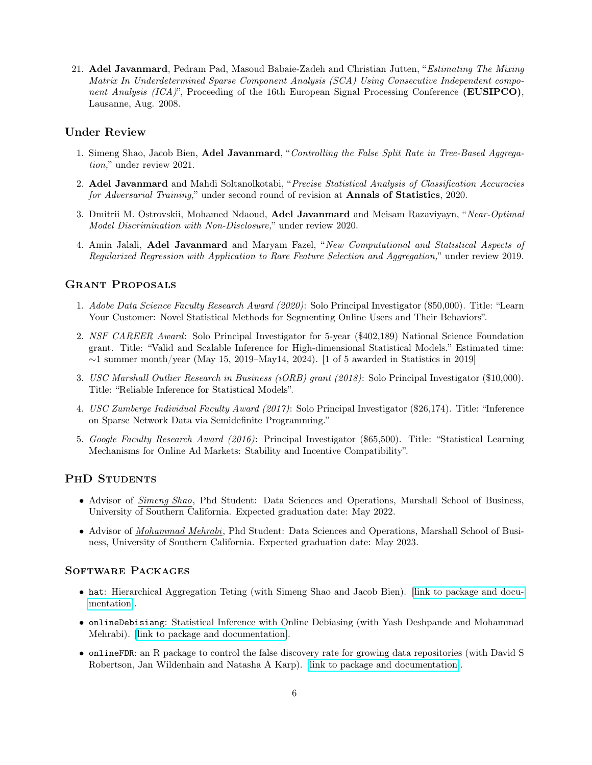21. Adel Javanmard, Pedram Pad, Masoud Babaie-Zadeh and Christian Jutten, "Estimating The Mixing Matrix In Underdetermined Sparse Component Analysis (SCA) Using Consecutive Independent component Analysis (ICA)", Proceeding of the 16th European Signal Processing Conference (EUSIPCO), Lausanne, Aug. 2008.

# Under Review

- 1. Simeng Shao, Jacob Bien, Adel Javanmard, "Controlling the False Split Rate in Tree-Based Aggregation," under review 2021.
- 2. Adel Javanmard and Mahdi Soltanolkotabi, "Precise Statistical Analysis of Classification Accuracies for Adversarial Training," under second round of revision at **Annals of Statistics**, 2020.
- 3. Dmitrii M. Ostrovskii, Mohamed Ndaoud, Adel Javanmard and Meisam Razaviyayn, "Near-Optimal Model Discrimination with Non-Disclosure," under review 2020.
- 4. Amin Jalali, Adel Javanmard and Maryam Fazel, "New Computational and Statistical Aspects of Regularized Regression with Application to Rare Feature Selection and Aggregation," under review 2019.

# Grant Proposals

- 1. Adobe Data Science Faculty Research Award (2020): Solo Principal Investigator (\$50,000). Title: "Learn Your Customer: Novel Statistical Methods for Segmenting Online Users and Their Behaviors".
- 2. NSF CAREER Award: Solo Principal Investigator for 5-year (\$402,189) National Science Foundation grant. Title: "Valid and Scalable Inference for High-dimensional Statistical Models." Estimated time:  $\sim$ 1 summer month/year (May 15, 2019–May14, 2024). [1 of 5 awarded in Statistics in 2019]
- 3. USC Marshall Outlier Research in Business (iORB) grant (2018): Solo Principal Investigator (\$10,000). Title: "Reliable Inference for Statistical Models".
- 4. USC Zumberge Individual Faculty Award (2017): Solo Principal Investigator (\$26,174). Title: "Inference on Sparse Network Data via Semidefinite Programming."
- 5. Google Faculty Research Award (2016): Principal Investigator (\$65,500). Title: "Statistical Learning Mechanisms for Online Ad Markets: Stability and Incentive Compatibility".

## PHD STUDENTS

- Advisor of *Simeng Shao*, Phd Student: Data Sciences and Operations, Marshall School of Business, University of Southern California. Expected graduation date: May 2022.
- Advisor of *Mohammad Mehrabi*, Phd Student: Data Sciences and Operations, Marshall School of Business, University of Southern California. Expected graduation date: May 2023.

## Software Packages

- hat: Hierarchical Aggregation Teting (with Simeng Shao and Jacob Bien). [\[link to package and docu](https://github.com/simengshao/hat)[mentation\]](https://github.com/simengshao/hat).
- onlineDebisiang: Statistical Inference with Online Debiasing (with Yash Deshpande and Mohammad Mehrabi). [\[link to package and documentation\]](http://faculty.marshall.usc.edu/Adel-Javanmard/OnlineDebiasing/).
- onlineFDR: an R package to control the false discovery rate for growing data repositories (with David S Robertson, Jan Wildenhain and Natasha A Karp). [\[link to package and documentation\]](http://bioconductor.org/packages/release/bioc/html/onlineFDR.html).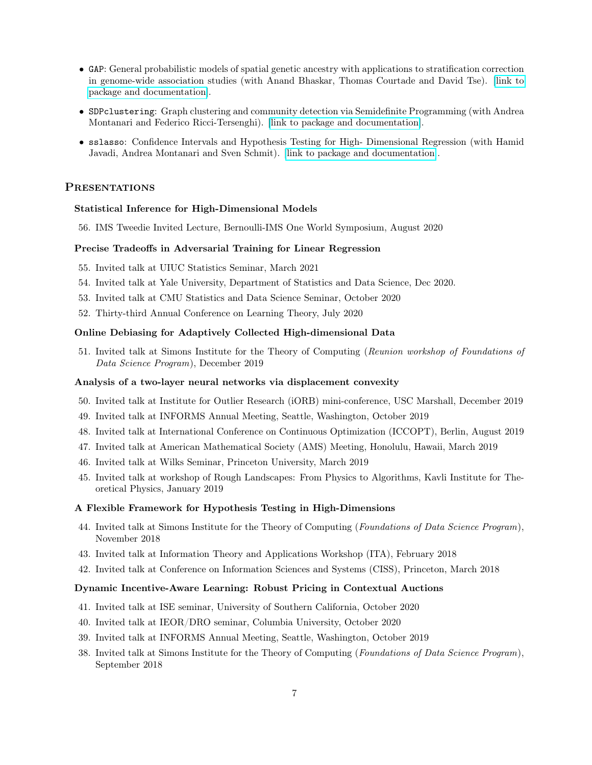- GAP: General probabilistic models of spatial genetic ancestry with applications to stratification correction in genome-wide association studies (with Anand Bhaskar, Thomas Courtade and David Tse). [\[link to](https://github.com/anand-bhaskar/gap) [package and documentation\]](https://github.com/anand-bhaskar/gap).
- SDPclustering: Graph clustering and community detection via Semidefinite Programming (with Andrea Montanari and Federico Ricci-Tersenghi). [\[link to package and documentation\]](http://web.stanford.edu/~montanar/SDPgraph/).
- sslasso: Confidence Intervals and Hypothesis Testing for High- Dimensional Regression (with Hamid Javadi, Andrea Montanari and Sven Schmit). [\[link to package and documentation\]](https://web.stanford.edu/~montanar/sslasso/).

# **PRESENTATIONS**

#### Statistical Inference for High-Dimensional Models

56. IMS Tweedie Invited Lecture, Bernoulli-IMS One World Symposium, August 2020

#### Precise Tradeoffs in Adversarial Training for Linear Regression

- 55. Invited talk at UIUC Statistics Seminar, March 2021
- 54. Invited talk at Yale University, Department of Statistics and Data Science, Dec 2020.
- 53. Invited talk at CMU Statistics and Data Science Seminar, October 2020
- 52. Thirty-third Annual Conference on Learning Theory, July 2020

#### Online Debiasing for Adaptively Collected High-dimensional Data

51. Invited talk at Simons Institute for the Theory of Computing (Reunion workshop of Foundations of Data Science Program), December 2019

#### Analysis of a two-layer neural networks via displacement convexity

- 50. Invited talk at Institute for Outlier Research (iORB) mini-conference, USC Marshall, December 2019
- 49. Invited talk at INFORMS Annual Meeting, Seattle, Washington, October 2019
- 48. Invited talk at International Conference on Continuous Optimization (ICCOPT), Berlin, August 2019
- 47. Invited talk at American Mathematical Society (AMS) Meeting, Honolulu, Hawaii, March 2019
- 46. Invited talk at Wilks Seminar, Princeton University, March 2019
- 45. Invited talk at workshop of Rough Landscapes: From Physics to Algorithms, Kavli Institute for Theoretical Physics, January 2019

#### A Flexible Framework for Hypothesis Testing in High-Dimensions

- 44. Invited talk at Simons Institute for the Theory of Computing (Foundations of Data Science Program), November 2018
- 43. Invited talk at Information Theory and Applications Workshop (ITA), February 2018
- 42. Invited talk at Conference on Information Sciences and Systems (CISS), Princeton, March 2018

#### Dynamic Incentive-Aware Learning: Robust Pricing in Contextual Auctions

- 41. Invited talk at ISE seminar, University of Southern California, October 2020
- 40. Invited talk at IEOR/DRO seminar, Columbia University, October 2020
- 39. Invited talk at INFORMS Annual Meeting, Seattle, Washington, October 2019
- 38. Invited talk at Simons Institute for the Theory of Computing (Foundations of Data Science Program), September 2018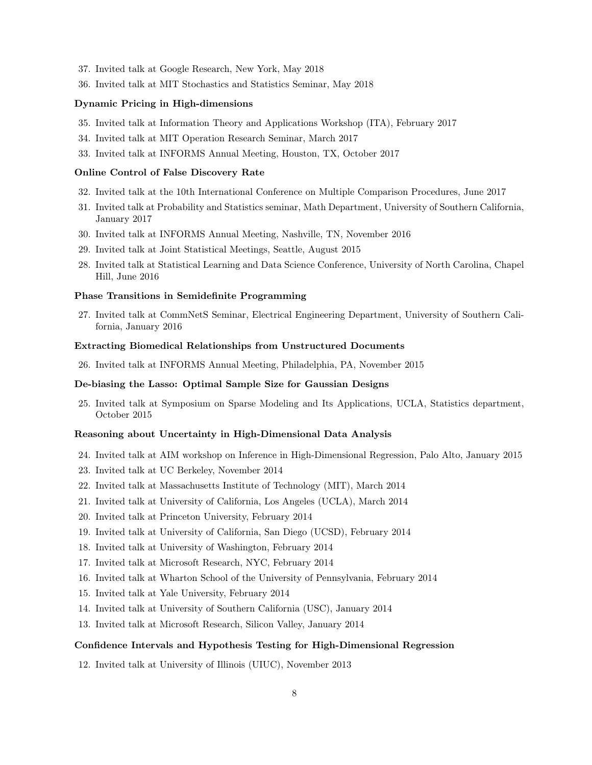- 37. Invited talk at Google Research, New York, May 2018
- 36. Invited talk at MIT Stochastics and Statistics Seminar, May 2018

#### Dynamic Pricing in High-dimensions

- 35. Invited talk at Information Theory and Applications Workshop (ITA), February 2017
- 34. Invited talk at MIT Operation Research Seminar, March 2017
- 33. Invited talk at INFORMS Annual Meeting, Houston, TX, October 2017

#### Online Control of False Discovery Rate

- 32. Invited talk at the 10th International Conference on Multiple Comparison Procedures, June 2017
- 31. Invited talk at Probability and Statistics seminar, Math Department, University of Southern California, January 2017
- 30. Invited talk at INFORMS Annual Meeting, Nashville, TN, November 2016
- 29. Invited talk at Joint Statistical Meetings, Seattle, August 2015
- 28. Invited talk at Statistical Learning and Data Science Conference, University of North Carolina, Chapel Hill, June 2016

#### Phase Transitions in Semidefinite Programming

27. Invited talk at CommNetS Seminar, Electrical Engineering Department, University of Southern California, January 2016

#### Extracting Biomedical Relationships from Unstructured Documents

26. Invited talk at INFORMS Annual Meeting, Philadelphia, PA, November 2015

#### De-biasing the Lasso: Optimal Sample Size for Gaussian Designs

25. Invited talk at Symposium on Sparse Modeling and Its Applications, UCLA, Statistics department, October 2015

### Reasoning about Uncertainty in High-Dimensional Data Analysis

- 24. Invited talk at AIM workshop on Inference in High-Dimensional Regression, Palo Alto, January 2015
- 23. Invited talk at UC Berkeley, November 2014
- 22. Invited talk at Massachusetts Institute of Technology (MIT), March 2014
- 21. Invited talk at University of California, Los Angeles (UCLA), March 2014
- 20. Invited talk at Princeton University, February 2014
- 19. Invited talk at University of California, San Diego (UCSD), February 2014
- 18. Invited talk at University of Washington, February 2014
- 17. Invited talk at Microsoft Research, NYC, February 2014
- 16. Invited talk at Wharton School of the University of Pennsylvania, February 2014
- 15. Invited talk at Yale University, February 2014
- 14. Invited talk at University of Southern California (USC), January 2014
- 13. Invited talk at Microsoft Research, Silicon Valley, January 2014

#### Confidence Intervals and Hypothesis Testing for High-Dimensional Regression

12. Invited talk at University of Illinois (UIUC), November 2013